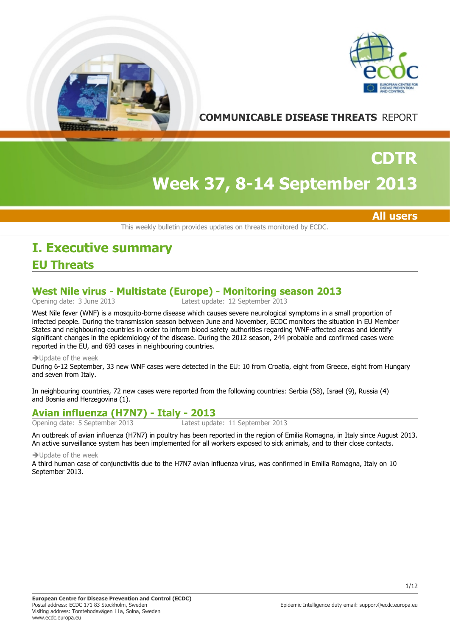



**COMMUNICABLE DISEASE THREATS** REPORT

# **Week 37, 8-14 September 2013 CDTR**

**All users**

This weekly bulletin provides updates on threats monitored by ECDC.

## **EU Threats I. Executive summary**

# **West Nile virus - Multistate (Europe) - Monitoring season 2013**

Latest update: 12 September 2013

West Nile fever (WNF) is a mosquito-borne disease which causes severe neurological symptoms in a small proportion of infected people. During the transmission season between June and November, ECDC monitors the situation in EU Member States and neighbouring countries in order to inform blood safety authorities regarding WNF-affected areas and identify significant changes in the epidemiology of the disease. During the 2012 season, 244 probable and confirmed cases were reported in the EU, and 693 cases in neighbouring countries.

#### $\rightarrow$  Update of the week

During 6-12 September, 33 new WNF cases were detected in the EU: 10 from Croatia, eight from Greece, eight from Hungary and seven from Italy.

In neighbouring countries, 72 new cases were reported from the following countries: Serbia (58), Israel (9), Russia (4) and Bosnia and Herzegovina (1).

## **Avian influenza (H7N7) - Italy - 2013**

Opening date: 5 September 2013 Latest update: 11 September 2013

An outbreak of avian influenza (H7N7) in poultry has been reported in the region of Emilia Romagna, in Italy since August 2013. An active surveillance system has been implemented for all workers exposed to sick animals, and to their close contacts.

#### $\rightarrow$  Update of the week

A third human case of conjunctivitis due to the H7N7 avian influenza virus, was confirmed in Emilia Romagna, Italy on 10 September 2013.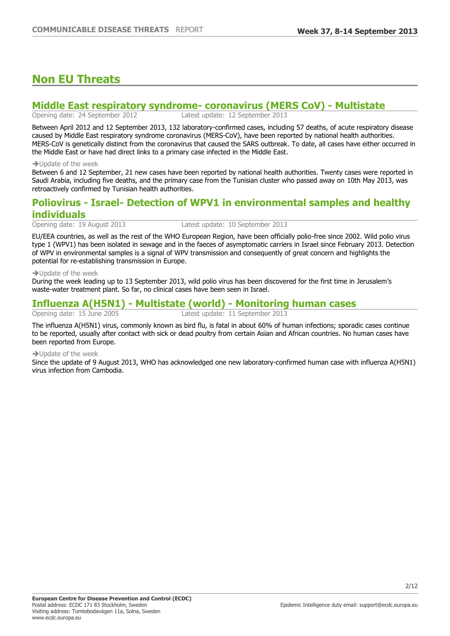## **Non EU Threats**

## **Middle East respiratory syndrome- coronavirus (MERS CoV) - Multistate**<br>Opening date: 24 September 2012<br>Latest update: 12 September 2013

Latest update: 12 September 2013

Between April 2012 and 12 September 2013, 132 laboratory-confirmed cases, including 57 deaths, of acute respiratory disease caused by Middle East respiratory syndrome coronavirus (MERS-CoV), have been reported by national health authorities. MERS-CoV is genetically distinct from the coronavirus that caused the SARS outbreak. To date, all cases have either occurred in the Middle East or have had direct links to a primary case infected in the Middle East.

#### $\rightarrow$  Update of the week

Between 6 and 12 September, 21 new cases have been reported by national health authorities. Twenty cases were reported in Saudi Arabia, including five deaths, and the primary case from the Tunisian cluster who passed away on 10th May 2013, was retroactively confirmed by Tunisian health authorities.

## **Poliovirus - Israel- Detection of WPV1 in environmental samples and healthy individuals**

Opening date: 19 August 2013 Latest update: 10 September 2013

EU/EEA countries, as well as the rest of the WHO European Region, have been officially polio-free since 2002. Wild polio virus type 1 (WPV1) has been isolated in sewage and in the faeces of asymptomatic carriers in Israel since February 2013. Detection of WPV in environmental samples is a signal of WPV transmission and consequently of great concern and highlights the potential for re-establishing transmission in Europe.

#### $\rightarrow$  Update of the week

During the week leading up to 13 September 2013, wild polio virus has been discovered for the first time in Jerusalem's waste-water treatment plant. So far, no clinical cases have been seen in Israel.

## **Influenza A(H5N1) - Multistate (world) - Monitoring human cases**

Latest update: 11 September 2013

The influenza A(H5N1) virus, commonly known as bird flu, is fatal in about 60% of human infections; sporadic cases continue to be reported, usually after contact with sick or dead poultry from certain Asian and African countries. No human cases have been reported from Europe.

#### $\rightarrow$ Undate of the week

Since the update of 9 August 2013, WHO has acknowledged one new laboratory-confirmed human case with influenza A(H5N1) virus infection from Cambodia.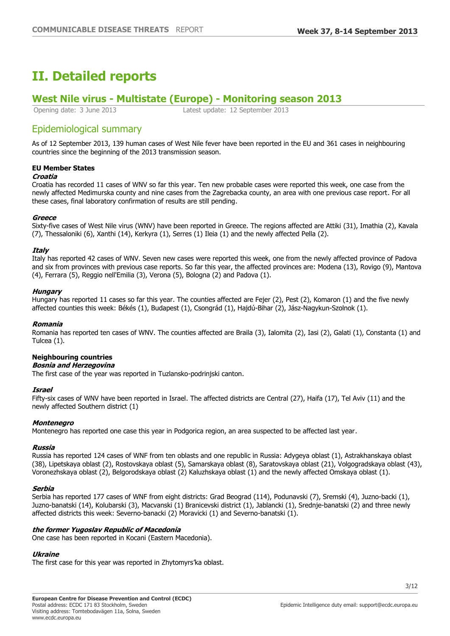## **II. Detailed reports**

# **West Nile virus - Multistate (Europe) - Monitoring season 2013**

Latest update: 12 September 2013

## Epidemiological summary

As of 12 September 2013, 139 human cases of West Nile fever have been reported in the EU and 361 cases in neighbouring countries since the beginning of the 2013 transmission season.

### **EU Member States**

#### **Croatia**

Croatia has recorded 11 cases of WNV so far this year. Ten new probable cases were reported this week, one case from the newly affected Medimurska county and nine cases from the Zagrebacka county, an area with one previous case report. For all these cases, final laboratory confirmation of results are still pending.

#### **Greece**

Sixty-five cases of West Nile virus (WNV) have been reported in Greece. The regions affected are Attiki (31), Imathia (2), Kavala (7), Thessaloniki (6), Xanthi (14), Kerkyra (1), Serres (1) Ileia (1) and the newly affected Pella (2).

#### **Italy**

Italy has reported 42 cases of WNV. Seven new cases were reported this week, one from the newly affected province of Padova and six from provinces with previous case reports. So far this year, the affected provinces are: Modena (13), Rovigo (9), Mantova (4), Ferrara (5), Reggio nell'Emilia (3), Verona (5), Bologna (2) and Padova (1).

#### **Hungary**

Hungary has reported 11 cases so far this year. The counties affected are Fejer (2), Pest (2), Komaron (1) and the five newly affected counties this week: Békés (1), Budapest (1), Csongrád (1), Hajdú-Bihar (2), Jász-Nagykun-Szolnok (1).

#### **Romania**

Romania has reported ten cases of WNV. The counties affected are Braila (3), Ialomita (2), Iasi (2), Galati (1), Constanta (1) and Tulcea (1).

#### **Neighbouring countries**

#### **Bosnia and Herzegovina**

The first case of the year was reported in Tuzlansko-podrinjski canton.

#### **Israel**

Fifty-six cases of WNV have been reported in Israel. The affected districts are Central (27), Haifa (17), Tel Aviv (11) and the newly affected Southern district (1)

#### **Montenegro**

Montenegro has reported one case this year in Podgorica region, an area suspected to be affected last year.

#### **Russia**

Russia has reported 124 cases of WNF from ten oblasts and one republic in Russia: Adygeya oblast (1), Astrakhanskaya oblast (38), Lipetskaya oblast (2), Rostovskaya oblast (5), Samarskaya oblast (8), Saratovskaya oblast (21), Volgogradskaya oblast (43), Voronezhskaya oblast (2), Belgorodskaya oblast (2) Kaluzhskaya oblast (1) and the newly affected Omskaya oblast (1).

#### **Serbia**

Serbia has reported 177 cases of WNF from eight districts: Grad Beograd (114), Podunavski (7), Sremski (4), Juzno-backi (1), Juzno-banatski (14), Kolubarski (3), Macvanski (1) Branicevski district (1), Jablancki (1), Srednje-banatski (2) and three newly affected districts this week: Severno-banacki (2) Moravicki (1) and Severno-banatski (1).

#### **the former Yugoslav Republic of Macedonia**

One case has been reported in Kocani (Eastern Macedonia).

### **Ukraine**

The first case for this year was reported in Zhytomyrs'ka oblast.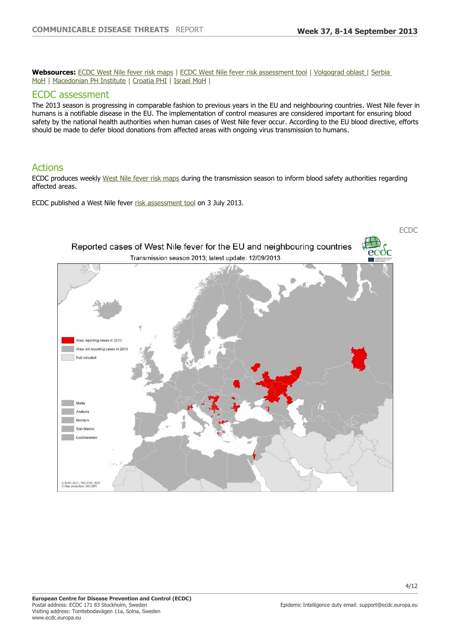**Websources:** [ECDC West Nile fever risk maps](http://www.ecdc.europa.eu/en/healthtopics/west_nile_fever/west-nile-fever-maps/pages/index.aspx) | [ECDC West Nile fever risk assessment tool](http://ecdc.europa.eu/en/publications/Publications/west-nile-virus-risk-assessment-tool.pdf) | [Volgograd oblast](http://34.rospotrebnadzor.ru/epidemiologic_situation/98040/) | [Serbia](http://www.batut.org.rs/index.php?content=543)  [MoH](http://www.batut.org.rs/index.php?content=543) | [Macedonian PH Institute](http://www.iph.mk/index.php?option=com_content&view=article&id=207%253A-west-nile-2013-&lang=mk) | [Croatia PHI](http://www.hzjz.hr/epidemiologija/zap_nil.htm) | [Israel MoH](http://www.health.gov.il/Subjects/disease/WNF/Pages/StatusReport2013.aspx) |

#### ECDC assessment

The 2013 season is progressing in comparable fashion to previous years in the EU and neighbouring countries. West Nile fever in humans is a notifiable disease in the EU. The implementation of control measures are considered important for ensuring blood safety by the national health authorities when human cases of West Nile fever occur. According to the EU blood directive, efforts should be made to defer blood donations from affected areas with ongoing virus transmission to humans.

## Actions

ECDC produces weekly [West Nile fever risk maps](http://www.ecdc.europa.eu/en/healthtopics/west_nile_fever/west-nile-fever-maps/pages/index.aspx) during the transmission season to inform blood safety authorities regarding affected areas.

ECDC published a West Nile fever [risk assessment tool](http://ecdc.europa.eu/en/publications/Publications/west-nile-virus-risk-assessment-tool.pdf) on 3 July 2013.

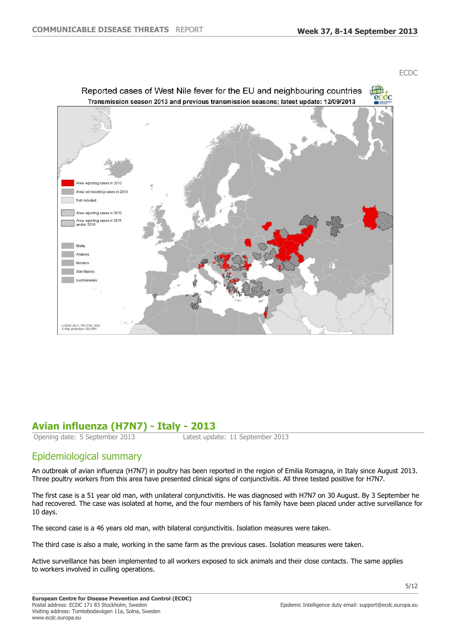



## **Avian influenza (H7N7) - Italy - 2013**

Opening date: 5 September 2013 Latest update: 11 September 2013

## Epidemiological summary

An outbreak of avian influenza (H7N7) in poultry has been reported in the region of Emilia Romagna, in Italy since August 2013. Three poultry workers from this area have presented clinical signs of conjunctivitis. All three tested positive for H7N7.

The first case is a 51 year old man, with unilateral conjunctivitis. He was diagnosed with H7N7 on 30 August. By 3 September he had recovered. The case was isolated at home, and the four members of his family have been placed under active surveillance for 10 days.

The second case is a 46 years old man, with bilateral conjunctivitis. Isolation measures were taken.

The third case is also a male, working in the same farm as the previous cases. Isolation measures were taken.

Active surveillance has been implemented to all workers exposed to sick animals and their close contacts. The same applies to workers involved in culling operations.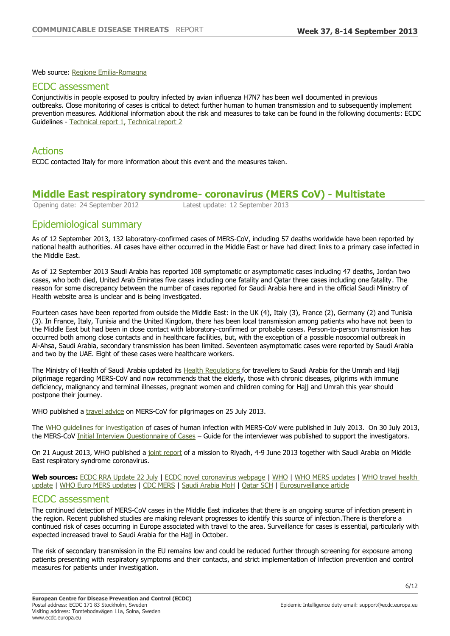Web source: [Regione Emilia-Romagna](http://www.regione.emilia-romagna.it/notizie/2013/settembre/aviaria-positivo-un-dipendente-dellallevamento-di-Mordano)

#### ECDC assessment

Conjunctivitis in people exposed to poultry infected by avian influenza H7N7 has been well documented in previous outbreaks. Close monitoring of cases is critical to detect further human to human transmission and to subsequently implement prevention measures. Additional information about the risk and measures to take can be found in the following documents: ECDC Guidelines - [Technical report](http://ecdc.europa.eu/en/publications/Publications/0512_MER_Minimise_the_Risk_of_Humans_Acquiring_Avian_Influenza.pdf) [1,](http://http//ecdc.europa.eu/en/publications/Publications/0512_MER_Minimise_the_Risk_of_Humans_Acquiring_Avian_Influenza.pdf) [Technical report](http://ecdc.europa.eu/en/publications/publications/0606_ter_avian_influenza_portafolio.pdf) [2](http://http//ecdc.europa.eu/en/publications/publications/0606_ter_avian_influenza_portafolio.pdf)

#### Actions

ECDC contacted Italy for more information about this event and the measures taken.

# **Middle East respiratory syndrome- coronavirus (MERS CoV) - Multistate**<br>
Opening date: 24 September 2012<br>
Latest update: 12 September 2013

Latest update: 12 September 2013

## Epidemiological summary

As of 12 September 2013, 132 laboratory-confirmed cases of MERS-CoV, including 57 deaths worldwide have been reported by national health authorities. All cases have either occurred in the Middle East or have had direct links to a primary case infected in the Middle East.

As of 12 September 2013 Saudi Arabia has reported 108 symptomatic or asymptomatic cases including 47 deaths, Jordan two cases, who both died, United Arab Emirates five cases including one fatality and Qatar three cases including one fatality. The reason for some discrepancy between the number of cases reported for Saudi Arabia here and in the official Saudi Ministry of Health website area is unclear and is being investigated.

Fourteen cases have been reported from outside the Middle East: in the UK (4), Italy (3), France (2), Germany (2) and Tunisia (3). In France, Italy, Tunisia and the United Kingdom, there has been local transmission among patients who have not been to the Middle East but had been in close contact with laboratory-confirmed or probable cases. Person-to-person transmission has occurred both among close contacts and in healthcare facilities, but, with the exception of a possible nosocomial outbreak in Al-Ahsa, Saudi Arabia, secondary transmission has been limited. Seventeen asymptomatic cases were reported by Saudi Arabia and two by the UAE. Eight of these cases were healthcare workers.

The Ministry of Health of Saudi Arabia updated its [Health Regulations](http://www.moh.gov.sa/Ministry/MediaCenter/News/Pages/News-2013-07-12-001.aspx) for travellers to Saudi Arabia for the Umrah and Hajj pilgrimage regarding MERS-CoV and now recommends that the elderly, those with chronic diseases, pilgrims with immune deficiency, malignancy and terminal illnesses, pregnant women and children coming for Hajj and Umrah this year should postpone their journey.

WHO published a [travel advice](http://www.who.int/ith/updates/20130725/en/index.html) on MERS-CoV for pilgrimages on 25 July 2013.

The [WHO guidelines for investigation](http://www.who.int/csr/disease/coronavirus_infections/MERS_CoV_investigation_guideline_Jul13.pdf) of cases of human infection with MERS-CoV were published in July 2013. On 30 July 2013, the MERS-CoV [Initial Interview Questionnaire of Cases](http://www.who.int/csr/disease/coronavirus_infections/MERS_case_investigation_questionnaire.pdf) – Guide for the interviewer was published to support the investigators.

On 21 August 2013, WHO published a [joint report](http://www.who.int/csr/disease/coronavirus_infections/MERSCov_WHO_KSA_Mission_Jun13_.pdf) of a mission to Riyadh, 4-9 June 2013 together with Saudi Arabia on Middle East respiratory syndrome coronavirus.

**Web sources:** [ECDC RRA Update 22 July](http://ecdc.europa.eu/en/publications/Publications/Forms/ECDC_DispForm.aspx?ID=1173) | [ECDC novel coronavirus webpage](http://ecdc.europa.eu/en/healthtopics/coronavirus-infections/Pages/index.aspx) | [WHO](http://www.who.int/csr/disease/coronavirus_infections/en/index.html) | [WHO MERS updates](http://www.who.int/csr/don/archive/disease/coronavirus_infections/en/index.html) | [WHO travel health](http://www.who.int/entity/ith/updates/20130725/en/index.html)  [update](http://www.who.int/entity/ith/updates/20130725/en/index.html) | [WHO Euro MERS updates](http://www.euro.who.int/en/what-we-do/health-topics/communicable-diseases/influenza/middle-east-respiratory-syndrome-coronavirus-mers-cov/mers-cov-updates-european-region) | [CDC MERS](http://www.cdc.gov/coronavirus/mers/index.html) | [Saudi Arabia MoH](http://www.moh.gov.sa/en/CoronaNew/Pages/default.aspx) | [Qatar SCH](http://www.sch.gov.qa/sch/En/catcontent.jsp?scatId=772&scatType=1&CSRT=11092724450247414006) | [Eurosurveillance article](http://www.eurosurveillance.org/ViewArticle.aspx?ArticleId=20574)

#### ECDC assessment

The continued detection of MERS-CoV cases in the Middle East indicates that there is an ongoing source of infection present in the region. Recent published studies are making relevant progresses to identify this source of infection.There is therefore a continued risk of cases occurring in Europe associated with travel to the area. Surveillance for cases is essential, particularly with expected increased travel to Saudi Arabia for the Hajj in October.

The risk of secondary transmission in the EU remains low and could be reduced further through screening for exposure among patients presenting with respiratory symptoms and their contacts, and strict implementation of infection prevention and control measures for patients under investigation.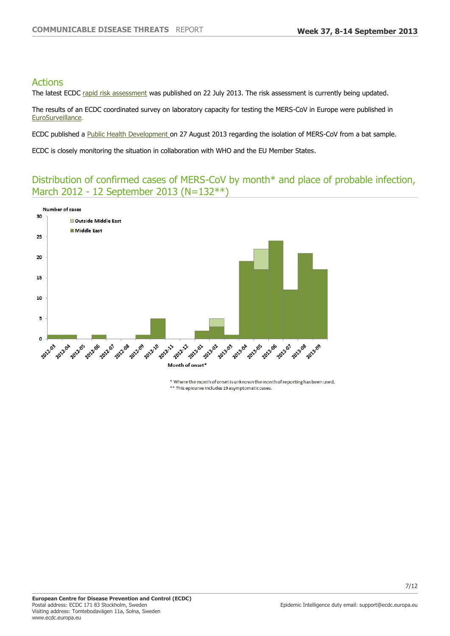## Actions

The latest ECDC [rapid risk assessment](http://ecdc.europa.eu/en/publications/Publications/Forms/ECDC_DispForm.aspx?ID=1173) was published on 22 July 2013. The risk assessment is currently being updated.

The results of an ECDC coordinated survey on laboratory capacity for testing the MERS-CoV in Europe were published in [EuroSurveillance](http://www.eurosurveillance.org/ViewArticle.aspx?ArticleId=20335).

ECDC published a [Public Health Development](http://www.ecdc.europa.eu/en/activities/sciadvice/Lists/ECDC%20Reviews/ECDC_DispForm.aspx?List=512ff74f-77d4-4ad8-b6d6-bf0f23083f30&ID=1319&RootFolder=%252Fen%252Factivities%252Fsciadvice%252FLists%252FECDC%20Reviews) on 27 August 2013 regarding the isolation of MERS-CoV from a bat sample.

ECDC is closely monitoring the situation in collaboration with WHO and the EU Member States.

## Distribution of confirmed cases of MERS-CoV by month\* and place of probable infection, March 2012 - 12 September 2013 (N=132\*\*)



\* Where the month of onset is unknown the month of reporting has been used. \*\* This epicurve includes 19 asymptomatic cases.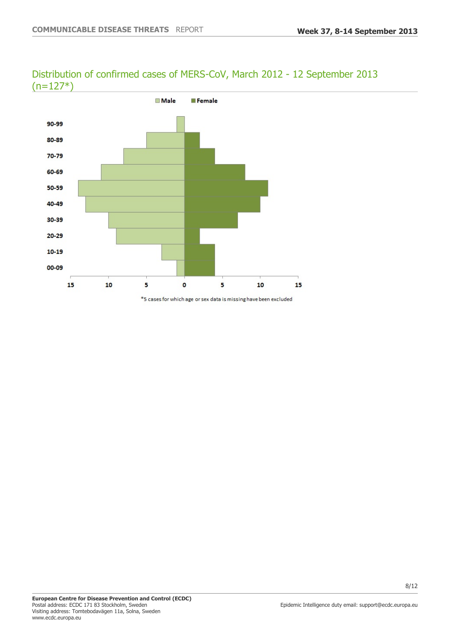## Distribution of confirmed cases of MERS-CoV, March 2012 - 12 September 2013  $(n=127*)$



\*5 cases for which age or sex data is missing have been excluded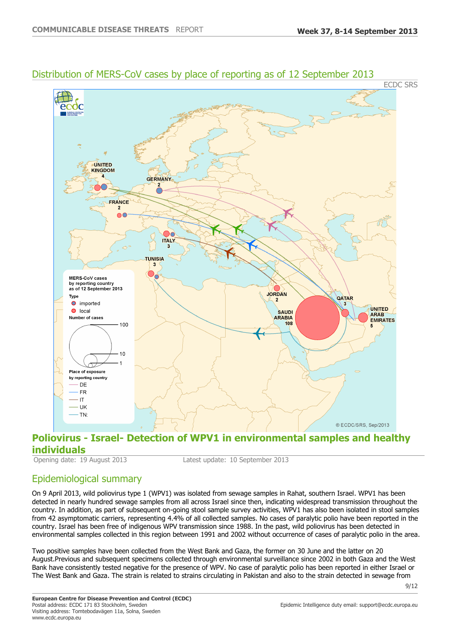

## Distribution of MERS-CoV cases by place of reporting as of 12 September 2013

## **Poliovirus - Israel- Detection of WPV1 in environmental samples and healthy individuals**<br> **Opening date: 19 August 2013**

Latest update: 10 September 2013

## Epidemiological summary

On 9 April 2013, wild poliovirus type 1 (WPV1) was isolated from sewage samples in Rahat, southern Israel. WPV1 has been detected in nearly hundred sewage samples from all across Israel since then, indicating widespread transmission throughout the country. In addition, as part of subsequent on-going stool sample survey activities, WPV1 has also been isolated in stool samples from 42 asymptomatic carriers, representing 4.4% of all collected samples. No cases of paralytic polio have been reported in the country. Israel has been free of indigenous WPV transmission since 1988. In the past, wild poliovirus has been detected in environmental samples collected in this region between 1991 and 2002 without occurrence of cases of paralytic polio in the area.

Two positive samples have been collected from the West Bank and Gaza, the former on 30 June and the latter on 20 August.Previous and subsequent specimens collected through environmental surveillance since 2002 in both Gaza and the West Bank have consistently tested negative for the presence of WPV. No case of paralytic polio has been reported in either Israel or The West Bank and Gaza. The strain is related to strains circulating in Pakistan and also to the strain detected in sewage from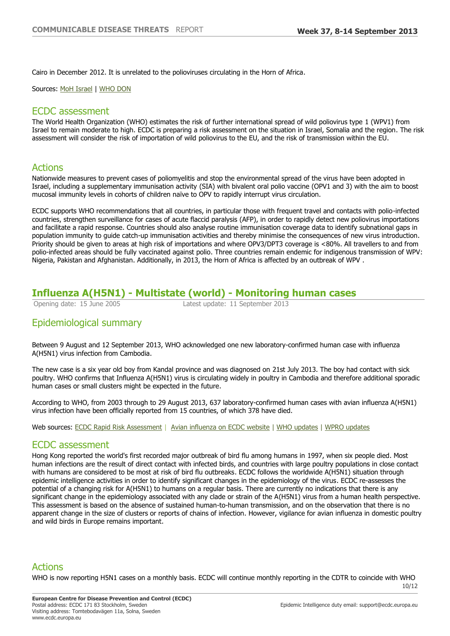Cairo in December 2012. It is unrelated to the polioviruses circulating in the Horn of Africa.

Sources: [MoH Israel](http://www.health.gov.il/english/Pages/HomePage.aspx) | [WHO DON](http://www.who.int/csr/don/en/index.html)

### ECDC assessment

The World Health Organization (WHO) estimates the risk of further international spread of wild poliovirus type 1 (WPV1) from Israel to remain moderate to high. ECDC is preparing a risk assessment on the situation in Israel, Somalia and the region. The risk assessment will consider the risk of importation of wild poliovirus to the EU, and the risk of transmission within the EU.

## Actions

Nationwide measures to prevent cases of poliomyelitis and stop the environmental spread of the virus have been adopted in Israel, including a supplementary immunisation activity (SIA) with bivalent oral polio vaccine (OPV1 and 3) with the aim to boost mucosal immunity levels in cohorts of children naïve to OPV to rapidly interrupt virus circulation.

ECDC supports WHO recommendations that all countries, in particular those with frequent travel and contacts with polio-infected countries, strengthen surveillance for cases of acute flaccid paralysis (AFP), in order to rapidly detect new poliovirus importations and facilitate a rapid response. Countries should also analyse routine immunisation coverage data to identify subnational gaps in population immunity to guide catch-up immunisation activities and thereby minimise the consequences of new virus introduction. Priority should be given to areas at high risk of importations and where OPV3/DPT3 coverage is <80%. All travellers to and from polio-infected areas should be fully vaccinated against polio. Three countries remain endemic for indigenous transmission of WPV: Nigeria, Pakistan and Afghanistan. Additionally, in 2013, the Horn of Africa is affected by an outbreak of WPV .

## **Influenza A(H5N1) - Multistate (world) - Monitoring human cases**

Opening date: 15 June 2005 Latest update: 11 September 2013

## Epidemiological summary

Between 9 August and 12 September 2013, WHO acknowledged one new laboratory-confirmed human case with influenza A(H5N1) virus infection from Cambodia.

The new case is a six year old boy from Kandal province and was diagnosed on 21st July 2013. The boy had contact with sick poultry. WHO confirms that Influenza A(H5N1) virus is circulating widely in poultry in Cambodia and therefore additional sporadic human cases or small clusters might be expected in the future.

According to WHO, from 2003 through to 29 August 2013, 637 laboratory-confirmed human cases with avian influenza A(H5N1) virus infection have been officially reported from 15 countries, of which 378 have died.

Web sources: [ECDC Rapid Risk Assessment](http://ecdc.europa.eu/en/press/news/Lists/News/ECDC_DispForm.aspx?List=32e43ee8-e230-4424-a783-85742124029a&ID=477&RootFolder=%252Fen%252Fpress%252Fnews%252FLists%252FNews) | [Avian influenza on ECDC website](http://ecdc.europa.eu/en/healthtopics/avian_influenza/Pages/index.aspx) | [WHO updates](http://www.who.int/influenza/human_animal_interface/Influenza_Summary_IRA_HA_interface_03July13.pdf) | [WPRO updates](http://www.wpro.who.int/emerging_diseases/AvianInfluenza/en/index.html)

### ECDC assessment

Hong Kong reported the world's first recorded major outbreak of bird flu among humans in 1997, when six people died. Most human infections are the result of direct contact with infected birds, and countries with large poultry populations in close contact with humans are considered to be most at risk of bird flu outbreaks. ECDC follows the worldwide A(H5N1) situation through epidemic intelligence activities in order to identify significant changes in the epidemiology of the virus. ECDC re-assesses the potential of a changing risk for A(H5N1) to humans on a regular basis. There are currently no indications that there is any significant change in the epidemiology associated with any clade or strain of the A(H5N1) virus from a human health perspective. This assessment is based on the absence of sustained human-to-human transmission, and on the observation that there is no apparent change in the size of clusters or reports of chains of infection. However, vigilance for avian influenza in domestic poultry and wild birds in Europe remains important.

## Actions

WHO is now reporting H5N1 cases on a monthly basis. ECDC will continue monthly reporting in the CDTR to coincide with WHO

10/12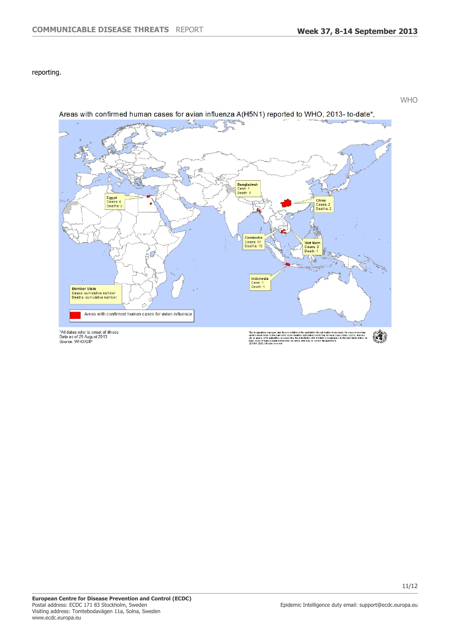WHO

reporting.



Areas with confirmed human cases for avian influenza A(H5N1) reported to WHO, 2013-to-date\*,

\*All dates refer to onset of illness<br>Data as of 29 August 2013<br>Source: WHO/GIP

signations employed and the presentation of the malledal in his publication do nothingly the expectation of any<br>which cover on the plat of the World Realth Organizablon concerning the legal status of any country, lenticry, The doplnk<br>colnk<br>clly or<br>colness<br>col W 4